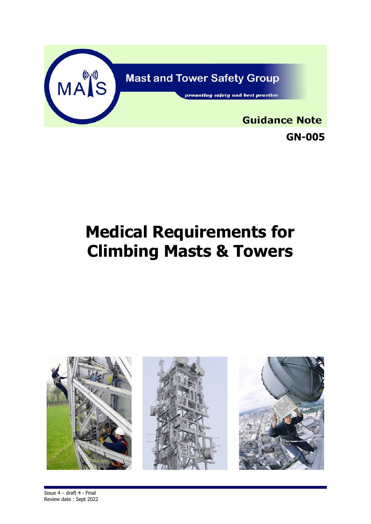

# **Medical Requirements for Climbing Masts & Towers**

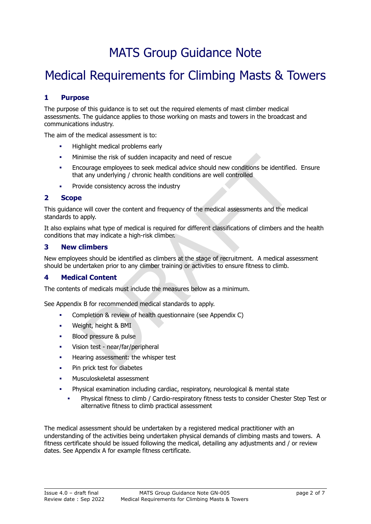## MATS Group Guidance Note

### Medical Requirements for Climbing Masts & Towers

#### **1 Purpose**

The purpose of this guidance is to set out the required elements of mast climber medical assessments. The guidance applies to those working on masts and towers in the broadcast and communications industry.

The aim of the medical assessment is to:

- Highlight medical problems early
- Minimise the risk of sudden incapacity and need of rescue
- ininise the risk of sudden incapacity and need of rescue<br>courage employees to seek medical advice should new conditions be identified<br>t any underlying / chronic health conditions are well controlled<br>electronsteady across t Encourage employees to seek medical advice should new conditions be identified. Ensure that any underlying / chronic health conditions are well controlled
- Provide consistency across the industry

#### **2 Scope**

This guidance will cover the content and frequency of the medical assessments and the medical standards to apply.

It also explains what type of medical is required for different classifications of climbers and the health conditions that may indicate a high-risk climber.

#### **3 New climbers**

New employees should be identified as climbers at the stage of recruitment. A medical assessment should be undertaken prior to any climber training or activities to ensure fitness to climb.

#### **4 Medical Content**

The contents of medicals must include the measures below as a minimum.

See Appendix B for recommended medical standards to apply.

- Completion & review of health questionnaire (see Appendix C)
- Weight, height & BMI
- Blood pressure & pulse
- Vision test near/far/peripheral
- Hearing assessment: the whisper test
- Pin prick test for diabetes
- Musculoskeletal assessment
- Physical examination including cardiac, respiratory, neurological & mental state
	- Physical fitness to climb / Cardio-respiratory fitness tests to consider Chester Step Test or alternative fitness to climb practical assessment

The medical assessment should be undertaken by a registered medical practitioner with an understanding of the activities being undertaken physical demands of climbing masts and towers. A fitness certificate should be issued following the medical, detailing any adjustments and / or review dates. See Appendix A for example fitness certificate.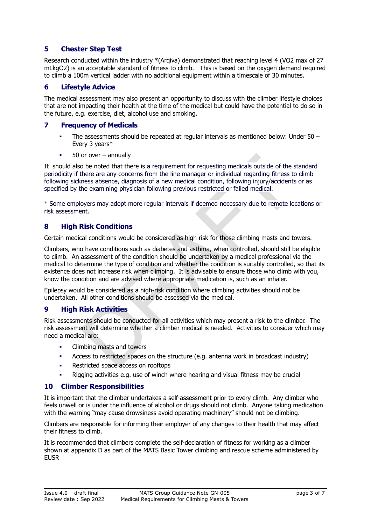#### **5 Chester Step Test**

Research conducted within the industry \*(Arqiva) demonstrated that reaching level 4 (VO2 max of 27 mLkgO2) is an acceptable standard of fitness to climb. This is based on the oxygen demand required to climb a 100m vertical ladder with no additional equipment within a timescale of 30 minutes.

#### **6 Lifestyle Advice**

The medical assessment may also present an opportunity to discuss with the climber lifestyle choices that are not impacting their health at the time of the medical but could have the potential to do so in the future, e.g. exercise, diet, alcohol use and smoking.

#### **7 Frequency of Medicals**

- The assessments should be repeated at regular intervals as mentioned below: Under 50 Every 3 years\*
- $50$  or over annually

It should also be noted that there is a requirement for requesting medicals outside of the standard periodicity if there are any concerns from the line manager or individual regarding fitness to climb following sickness absence, diagnosis of a new medical condition, following injury/accidents or as specified by the examining physician following previous restricted or failed medical.

\* Some employers may adopt more regular intervals if deemed necessary due to remote locations or risk assessment.

#### **8 High Risk Conditions**

Certain medical conditions would be considered as high risk for those climbing masts and towers.

or over – annually<br>or over – annually<br>obe noted that there is a requirement for requesting medicals outside of the s<br>there are any concerns from the line manager or individual regarding fitness to<br>mess absence, diagnosis o Climbers, who have conditions such as diabetes and asthma, when controlled, should still be eligible to climb. An assessment of the condition should be undertaken by a medical professional via the medical to determine the type of condition and whether the condition is suitably controlled, so that its existence does not increase risk when climbing. It is advisable to ensure those who climb with you, know the condition and are advised where appropriate medication is, such as an inhaler.

Epilepsy would be considered as a high-risk condition where climbing activities should not be undertaken. All other conditions should be assessed via the medical.

#### **9 High Risk Activities**

Risk assessments should be conducted for all activities which may present a risk to the climber. The risk assessment will determine whether a climber medical is needed. Activities to consider which may need a medical are:

- Climbing masts and towers
- Access to restricted spaces on the structure (e.g. antenna work in broadcast industry)
- Restricted space access on rooftops
- Rigging activities e.g. use of winch where hearing and visual fitness may be crucial

#### **10 Climber Responsibilities**

It is important that the climber undertakes a self-assessment prior to every climb. Any climber who feels unwell or is under the influence of alcohol or drugs should not climb. Anyone taking medication with the warning "may cause drowsiness avoid operating machinery" should not be climbing.

Climbers are responsible for informing their employer of any changes to their health that may affect their fitness to climb.

It is recommended that climbers complete the self-declaration of fitness for working as a climber shown at appendix D as part of the MATS Basic Tower climbing and rescue scheme administered by **EUSR**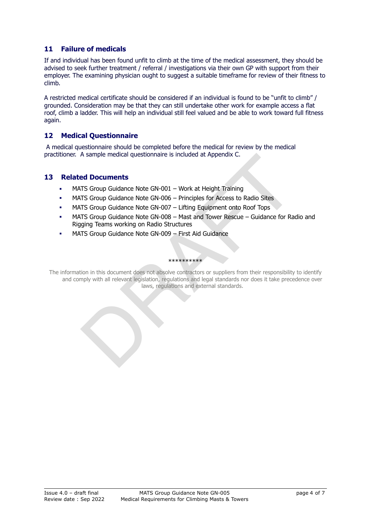#### **11 Failure of medicals**

If and individual has been found unfit to climb at the time of the medical assessment, they should be advised to seek further treatment / referral / investigations via their own GP with support from their employer. The examining physician ought to suggest a suitable timeframe for review of their fitness to climb.

A restricted medical certificate should be considered if an individual is found to be "unfit to climb" / grounded. Consideration may be that they can still undertake other work for example access a flat roof, climb a ladder. This will help an individual still feel valued and be able to work toward full fitness again.

#### **12 Medical Questionnaire**

 A medical questionnaire should be completed before the medical for review by the medical practitioner. A sample medical questionnaire is included at Appendix C.

#### **13 Related Documents**

- MATS Group Guidance Note GN-001 Work at Height Training
- MATS Group Guidance Note GN-006 Principles for Access to Radio Sites
- MATS Group Guidance Note GN-007 Lifting Equipment onto Roof Tops
- MATS Group Guidance Note GN-008 Mast and Tower Rescue Guidance for Radio and Rigging Teams working on Radio Structures
- MATS Group Guidance Note GN-009 First Aid Guidance

#### \*\*\*\*\*\*\*\*\*\*

A sample medical questionnaire is included at Appendix C.<br> **Example Mocuments**<br>
TTS Group Guidance Note GN-001 – Work at Height Training<br>
TTS Group Guidance Note GN-005 – Principles for Access to Radio Sites<br>
TTS Group Gui The information in this document does not absolve contractors or suppliers from their responsibility to identify and comply with all relevant legislation, regulations and legal standards nor does it take precedence over laws, regulations and external standards.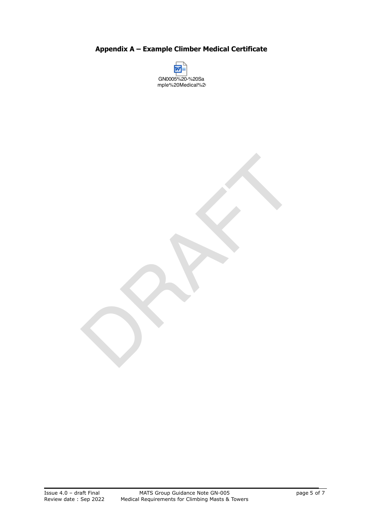**Appendix A – Example Climber Medical Certificate** 



RAFT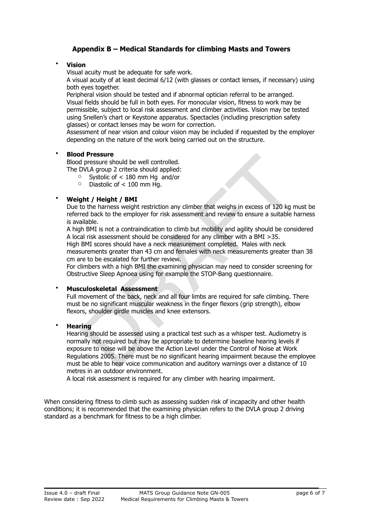#### **Appendix B – Medical Standards for climbing Masts and Towers**

#### • **Vision**

Visual acuity must be adequate for safe work.

A visual acuity of at least decimal 6/12 (with glasses or contact lenses, if necessary) using both eyes together.

Peripheral vision should be tested and if abnormal optician referral to be arranged. Visual fields should be full in both eyes. For monocular vision, fitness to work may be permissible, subject to local risk assessment and climber activities. Vision may be tested using Snellen's chart or Keystone apparatus. Spectacles (including prescription safety glasses) or contact lenses may be worn for correction.

Assessment of near vision and colour vision may be included if requested by the employer depending on the nature of the work being carried out on the structure.

#### • **Blood Pressure**

Blood pressure should be well controlled.

The DVLA group 2 criteria should applied:

- o Systolic of < 180 mm Hg and/or
- o Diastolic of < 100 mm Hg.

#### • **Weight / Height / BMI**

Due to the harness weight restriction any climber that weighs in excess of 120 kg must be referred back to the employer for risk assessment and review to ensure a suitable harness is available.

A high BMI is not a contraindication to climb but mobility and agility should be considered A local risk assessment should be considered for any climber with a BMI >35.

High BMI scores should have a neck measurement completed. Males with neck

measurements greater than 43 cm and females with neck measurements greater than 38 cm are to be escalated for further review.

For climbers with a high BMI the examining physician may need to consider screening for Obstructive Sleep Apnoea using for example the STOP-Bang questionnaire.

#### • **Musculoskeletal Assessment**

Full movement of the back, neck and all four limbs are required for safe climbing. There must be no significant muscular weakness in the finger flexors (grip strength), elbow flexors, shoulder girdle muscles and knee extensors.

• **Hearing** 

d **Pressure** should be well controlled.<br>
Dressure should be well controlled.<br>
DVLA group 2 criteria should applied:<br>
DVLA group 2 criteria should applied:<br>
DVLA group 2 criteria should applied:<br>
The Unit of  $\lt$  180 mm Hg. Hearing should be assessed using a practical test such as a whisper test. Audiometry is normally not required but may be appropriate to determine baseline hearing levels if exposure to noise will be above the Action Level under the Control of Noise at Work Regulations 2005. There must be no significant hearing impairment because the employee must be able to hear voice communication and auditory warnings over a distance of 10 metres in an outdoor environment.

A local risk assessment is required for any climber with hearing impairment.

When considering fitness to climb such as assessing sudden risk of incapacity and other health conditions; it is recommended that the examining physician refers to the DVLA group 2 driving standard as a benchmark for fitness to be a high climber.